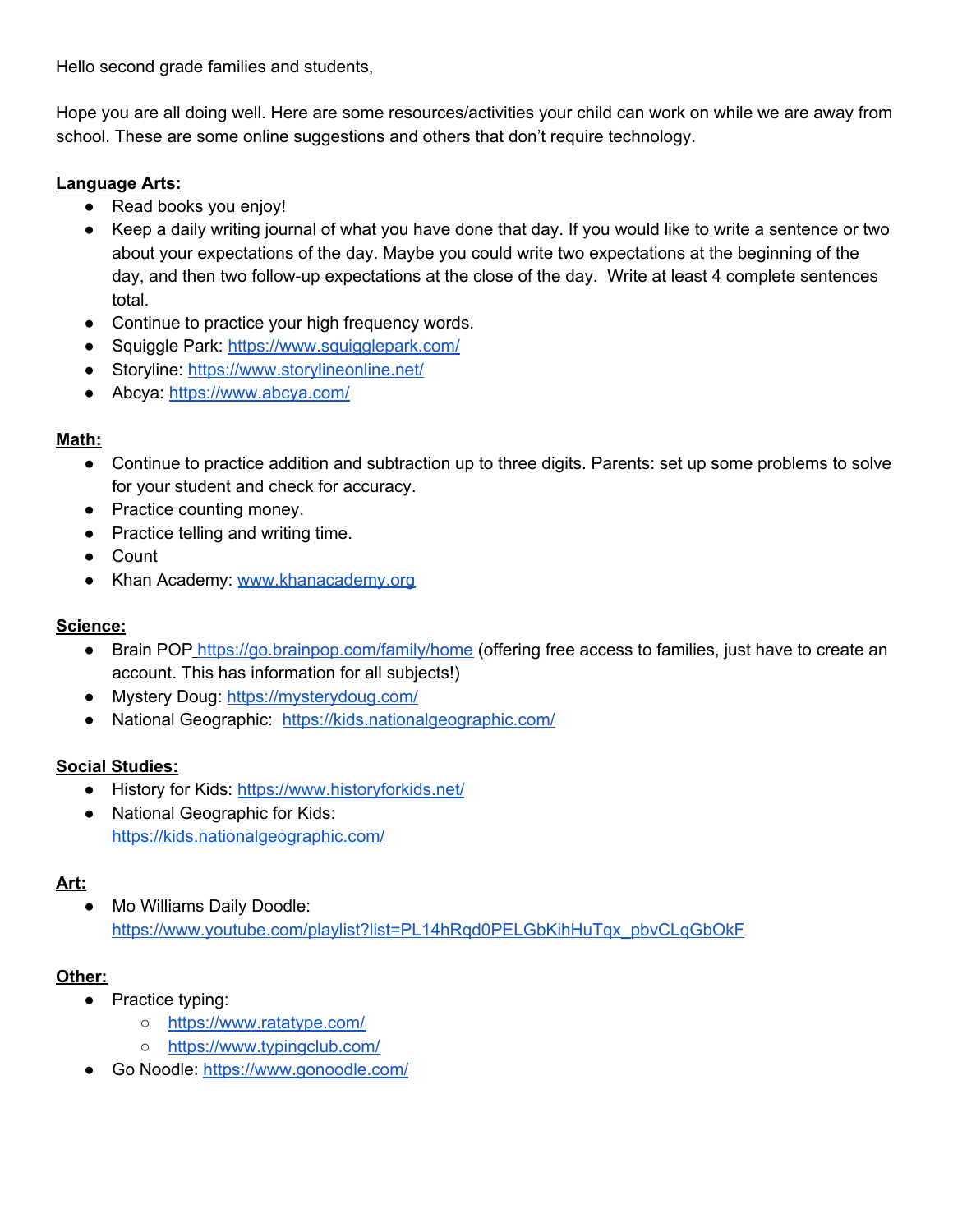Hello second grade families and students,

Hope you are all doing well. Here are some resources/activities your child can work on while we are away from school. These are some online suggestions and others that don't require technology.

## **Language Arts:**

- Read books you enjoy!
- Keep a daily writing journal of what you have done that day. If you would like to write a sentence or two about your expectations of the day. Maybe you could write two expectations at the beginning of the day, and then two follow-up expectations at the close of the day. Write at least 4 complete sentences total.
- Continue to practice your high frequency words.
- Squiggle Park: <https://www.squigglepark.com/>
- Storyline: <https://www.storylineonline.net/>
- Abcya: <https://www.abcya.com/>

### **Math:**

- Continue to practice addition and subtraction up to three digits. Parents: set up some problems to solve for your student and check for accuracy.
- Practice counting money.
- Practice telling and writing time.
- Count
- Khan Academy: [www.khanacademy.org](http://www.khanacademy.org/)

### **Science:**

- Brain POP <https://go.brainpop.com/family/home> (offering free access to families, just have to create an account. This has information for all subjects!)
- Mystery Doug: <https://mysterydoug.com/>
- National Geographic: <https://kids.nationalgeographic.com/>

### **Social Studies:**

- History for Kids: <https://www.historyforkids.net/>
- National Geographic for Kids: <https://kids.nationalgeographic.com/>

### **Art:**

Mo Williams Daily Doodle: [https://www.youtube.com/playlist?list=PL14hRqd0PELGbKihHuTqx\\_pbvCLqGbOkF](https://www.youtube.com/playlist?list=PL14hRqd0PELGbKihHuTqx_pbvCLqGbOkF)

### **Other:**

- Practice typing:
	- <https://www.ratatype.com/>
	- <https://www.typingclub.com/>
- Go Noodle: <https://www.gonoodle.com/>